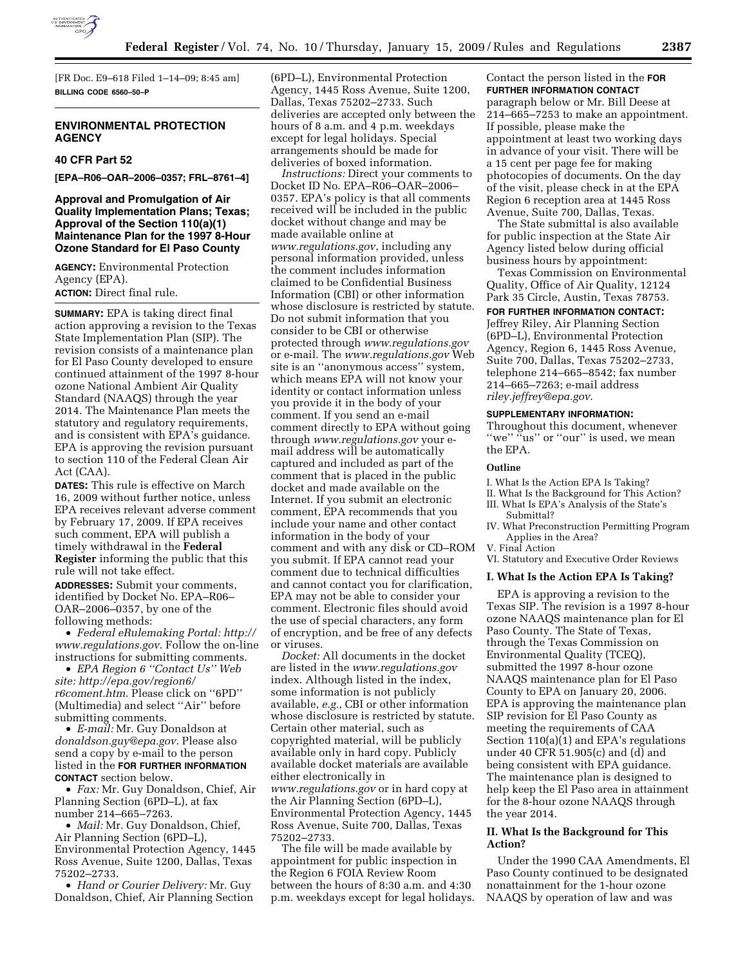

[FR Doc. E9–618 Filed 1–14–09; 8:45 am] **BILLING CODE 6560–50–P** 

# **ENVIRONMENTAL PROTECTION AGENCY**

# **40 CFR Part 52**

**[EPA–R06–OAR–2006–0357; FRL–8761–4]** 

**Approval and Promulgation of Air Quality Implementation Plans; Texas; Approval of the Section 110(a)(1) Maintenance Plan for the 1997 8-Hour Ozone Standard for El Paso County** 

**AGENCY:** Environmental Protection Agency (EPA). **ACTION:** Direct final rule.

**SUMMARY:** EPA is taking direct final action approving a revision to the Texas State Implementation Plan (SIP). The revision consists of a maintenance plan for El Paso County developed to ensure continued attainment of the 1997 8-hour ozone National Ambient Air Quality Standard (NAAQS) through the year 2014. The Maintenance Plan meets the statutory and regulatory requirements, and is consistent with EPA's guidance. EPA is approving the revision pursuant to section 110 of the Federal Clean Air Act (CAA).

**DATES:** This rule is effective on March 16, 2009 without further notice, unless EPA receives relevant adverse comment by February 17, 2009. If EPA receives such comment, EPA will publish a timely withdrawal in the **Federal Register** informing the public that this rule will not take effect.

**ADDRESSES:** Submit your comments, identified by Docket No. EPA–R06– OAR–2006–0357, by one of the following methods:

• *Federal eRulemaking Portal: http:// www.regulations.gov*. Follow the on-line instructions for submitting comments.

• *EPA Region 6 ''Contact Us'' Web site: http://epa.gov/region6/ r6coment.htm*. Please click on ''6PD'' (Multimedia) and select ''Air'' before submitting comments.

• *E-mail:* Mr. Guy Donaldson at *donaldson.guy@epa.gov*. Please also send a copy by e-mail to the person listed in the **FOR FURTHER INFORMATION CONTACT** section below.

• *Fax:* Mr. Guy Donaldson, Chief, Air Planning Section (6PD–L), at fax number 214–665–7263.

• *Mail:* Mr. Guy Donaldson, Chief, Air Planning Section (6PD–L), Environmental Protection Agency, 1445 Ross Avenue, Suite 1200, Dallas, Texas 75202–2733.

• *Hand or Courier Delivery:* Mr. Guy Donaldson, Chief, Air Planning Section (6PD–L), Environmental Protection Agency, 1445 Ross Avenue, Suite 1200, Dallas, Texas 75202–2733. Such deliveries are accepted only between the hours of 8 a.m. and 4 p.m. weekdays except for legal holidays. Special arrangements should be made for deliveries of boxed information.

*Instructions:* Direct your comments to Docket ID No. EPA–R06–OAR–2006– 0357. EPA's policy is that all comments received will be included in the public docket without change and may be made available online at *www.regulations.gov*, including any personal information provided, unless the comment includes information claimed to be Confidential Business Information (CBI) or other information whose disclosure is restricted by statute. Do not submit information that you consider to be CBI or otherwise protected through *www.regulations.gov*  or e-mail. The *www.regulations.gov* Web site is an ''anonymous access'' system, which means EPA will not know your identity or contact information unless you provide it in the body of your comment. If you send an e-mail comment directly to EPA without going through *www.regulations.gov* your email address will be automatically captured and included as part of the comment that is placed in the public docket and made available on the Internet. If you submit an electronic comment, EPA recommends that you include your name and other contact information in the body of your comment and with any disk or CD–ROM you submit. If EPA cannot read your comment due to technical difficulties and cannot contact you for clarification, EPA may not be able to consider your comment. Electronic files should avoid the use of special characters, any form of encryption, and be free of any defects or viruses.

*Docket:* All documents in the docket are listed in the *www.regulations.gov*  index. Although listed in the index, some information is not publicly available, *e.g.*, CBI or other information whose disclosure is restricted by statute. Certain other material, such as copyrighted material, will be publicly available only in hard copy. Publicly available docket materials are available either electronically in *www.regulations.gov* or in hard copy at the Air Planning Section (6PD–L), Environmental Protection Agency, 1445 Ross Avenue, Suite 700, Dallas, Texas 75202–2733.

The file will be made available by appointment for public inspection in the Region 6 FOIA Review Room between the hours of 8:30 a.m. and 4:30 p.m. weekdays except for legal holidays. Contact the person listed in the **FOR FURTHER INFORMATION CONTACT** paragraph below or Mr. Bill Deese at 214–665–7253 to make an appointment. If possible, please make the appointment at least two working days in advance of your visit. There will be a 15 cent per page fee for making photocopies of documents. On the day of the visit, please check in at the EPA Region 6 reception area at 1445 Ross Avenue, Suite 700, Dallas, Texas.

The State submittal is also available for public inspection at the State Air Agency listed below during official business hours by appointment:

Texas Commission on Environmental Quality, Office of Air Quality, 12124 Park 35 Circle, Austin, Texas 78753.

#### **FOR FURTHER INFORMATION CONTACT:**

Jeffrey Riley, Air Planning Section (6PD–L), Environmental Protection Agency, Region 6, 1445 Ross Avenue, Suite 700, Dallas, Texas 75202–2733, telephone 214–665–8542; fax number 214–665–7263; e-mail address *riley.jeffrey@epa.gov*.

# **SUPPLEMENTARY INFORMATION:**

Throughout this document, whenever "we" "us" or "our" is used, we mean the EPA.

### **Outline**

I. What Is the Action EPA Is Taking?

- II. What Is the Background for This Action?
- III. What Is EPA's Analysis of the State's Submittal?
- IV. What Preconstruction Permitting Program Applies in the Area?
- V. Final Action
- VI. Statutory and Executive Order Reviews

# **I. What Is the Action EPA Is Taking?**

EPA is approving a revision to the Texas SIP. The revision is a 1997 8-hour ozone NAAQS maintenance plan for El Paso County. The State of Texas, through the Texas Commission on Environmental Quality (TCEQ), submitted the 1997 8-hour ozone NAAQS maintenance plan for El Paso County to EPA on January 20, 2006. EPA is approving the maintenance plan SIP revision for El Paso County as meeting the requirements of CAA Section  $110(a)(1)$  and EPA's regulations under 40 CFR 51.905(c) and (d) and being consistent with EPA guidance. The maintenance plan is designed to help keep the El Paso area in attainment for the 8-hour ozone NAAQS through the year 2014.

# **II. What Is the Background for This Action?**

Under the 1990 CAA Amendments, El Paso County continued to be designated nonattainment for the 1-hour ozone NAAQS by operation of law and was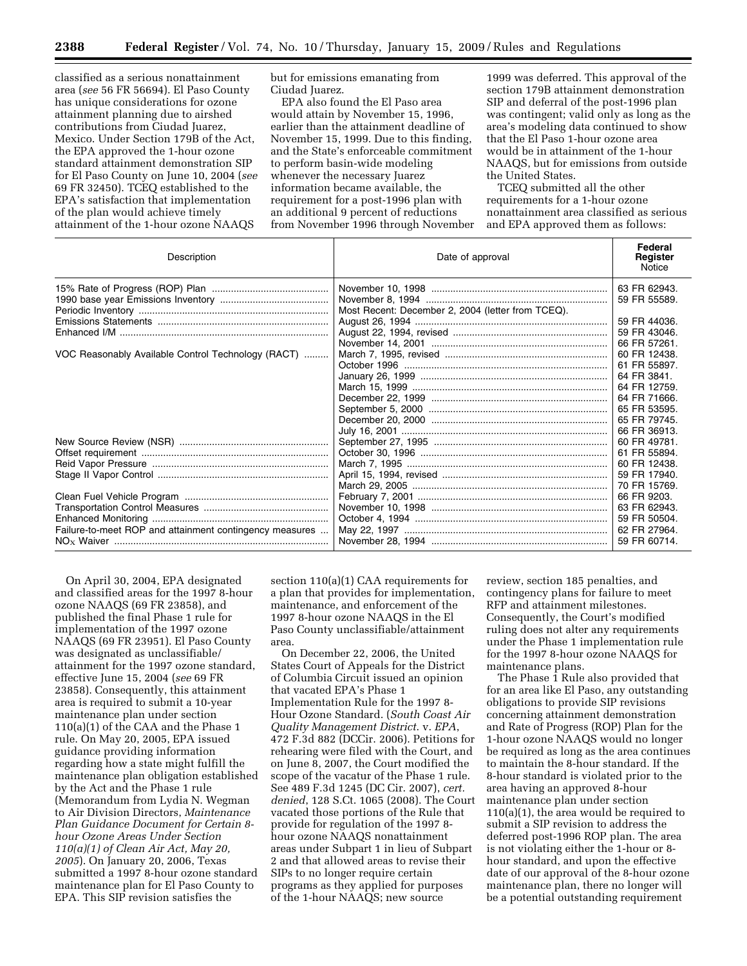classified as a serious nonattainment area (*see* 56 FR 56694). El Paso County has unique considerations for ozone attainment planning due to airshed contributions from Ciudad Juarez, Mexico. Under Section 179B of the Act, the EPA approved the 1-hour ozone standard attainment demonstration SIP for El Paso County on June 10, 2004 (*see*  69 FR 32450). TCEQ established to the EPA's satisfaction that implementation of the plan would achieve timely attainment of the 1-hour ozone NAAQS

but for emissions emanating from Ciudad Juarez.

EPA also found the El Paso area would attain by November 15, 1996, earlier than the attainment deadline of November 15, 1999. Due to this finding, and the State's enforceable commitment to perform basin-wide modeling whenever the necessary Juarez information became available, the requirement for a post-1996 plan with an additional 9 percent of reductions from November 1996 through November

1999 was deferred. This approval of the section 179B attainment demonstration SIP and deferral of the post-1996 plan was contingent; valid only as long as the area's modeling data continued to show that the El Paso 1-hour ozone area would be in attainment of the 1-hour NAAQS, but for emissions from outside the United States.

TCEQ submitted all the other requirements for a 1-hour ozone nonattainment area classified as serious and EPA approved them as follows:

| Description                                             | Date of approval                                  | Federal<br>Register<br>Notice |
|---------------------------------------------------------|---------------------------------------------------|-------------------------------|
|                                                         |                                                   | 63 FR 62943.                  |
|                                                         |                                                   | 59 FR 55589.                  |
|                                                         | Most Recent: December 2, 2004 (letter from TCEQ). |                               |
|                                                         |                                                   | 59 FR 44036.                  |
|                                                         |                                                   | 59 FR 43046.                  |
|                                                         |                                                   | 66 FR 57261.                  |
| VOC Reasonably Available Control Technology (RACT)      |                                                   | 60 FR 12438.                  |
|                                                         |                                                   | 61 FR 55897.                  |
|                                                         |                                                   | 64 FR 3841.                   |
|                                                         |                                                   | 64 FR 12759.                  |
|                                                         |                                                   | 64 FR 71666.                  |
|                                                         |                                                   | 65 FR 53595.                  |
|                                                         |                                                   | 65 FR 79745.                  |
|                                                         |                                                   | 66 FR 36913.                  |
|                                                         |                                                   | 60 FR 49781.                  |
|                                                         |                                                   | 61 FR 55894.                  |
|                                                         |                                                   | 60 FR 12438.                  |
|                                                         |                                                   | 59 FR 17940.                  |
|                                                         |                                                   | 70 FR 15769.                  |
|                                                         |                                                   | 66 FR 9203.                   |
|                                                         |                                                   | 63 FR 62943.                  |
|                                                         |                                                   | 59 FR 50504.                  |
| Failure-to-meet ROP and attainment contingency measures |                                                   | 62 FR 27964.                  |
|                                                         |                                                   | 59 FR 60714.                  |

On April 30, 2004, EPA designated and classified areas for the 1997 8-hour ozone NAAQS (69 FR 23858), and published the final Phase 1 rule for implementation of the 1997 ozone NAAQS (69 FR 23951). El Paso County was designated as unclassifiable/ attainment for the 1997 ozone standard, effective June 15, 2004 (*see* 69 FR 23858). Consequently, this attainment area is required to submit a 10-year maintenance plan under section 110(a)(1) of the CAA and the Phase 1 rule. On May 20, 2005, EPA issued guidance providing information regarding how a state might fulfill the maintenance plan obligation established by the Act and the Phase 1 rule (Memorandum from Lydia N. Wegman to Air Division Directors, *Maintenance Plan Guidance Document for Certain 8 hour Ozone Areas Under Section 110(a)(1) of Clean Air Act, May 20, 2005*). On January 20, 2006, Texas submitted a 1997 8-hour ozone standard maintenance plan for El Paso County to EPA. This SIP revision satisfies the

section 110(a)(1) CAA requirements for a plan that provides for implementation, maintenance, and enforcement of the 1997 8-hour ozone NAAQS in the El Paso County unclassifiable/attainment area.

On December 22, 2006, the United States Court of Appeals for the District of Columbia Circuit issued an opinion that vacated EPA's Phase 1 Implementation Rule for the 1997 8- Hour Ozone Standard. (*South Coast Air Quality Management District*. v. *EPA*, 472 F.3d 882 (DCCir. 2006). Petitions for rehearing were filed with the Court, and on June 8, 2007, the Court modified the scope of the vacatur of the Phase 1 rule. See 489 F.3d 1245 (DC Cir. 2007), *cert. denied*, 128 S.Ct. 1065 (2008). The Court vacated those portions of the Rule that provide for regulation of the 1997 8 hour ozone NAAQS nonattainment areas under Subpart 1 in lieu of Subpart 2 and that allowed areas to revise their SIPs to no longer require certain programs as they applied for purposes of the 1-hour NAAQS; new source

review, section 185 penalties, and contingency plans for failure to meet RFP and attainment milestones. Consequently, the Court's modified ruling does not alter any requirements under the Phase 1 implementation rule for the 1997 8-hour ozone NAAQS for maintenance plans.

The Phase 1 Rule also provided that for an area like El Paso, any outstanding obligations to provide SIP revisions concerning attainment demonstration and Rate of Progress (ROP) Plan for the 1-hour ozone NAAQS would no longer be required as long as the area continues to maintain the 8-hour standard. If the 8-hour standard is violated prior to the area having an approved 8-hour maintenance plan under section 110(a)(1), the area would be required to submit a SIP revision to address the deferred post-1996 ROP plan. The area is not violating either the 1-hour or 8 hour standard, and upon the effective date of our approval of the 8-hour ozone maintenance plan, there no longer will be a potential outstanding requirement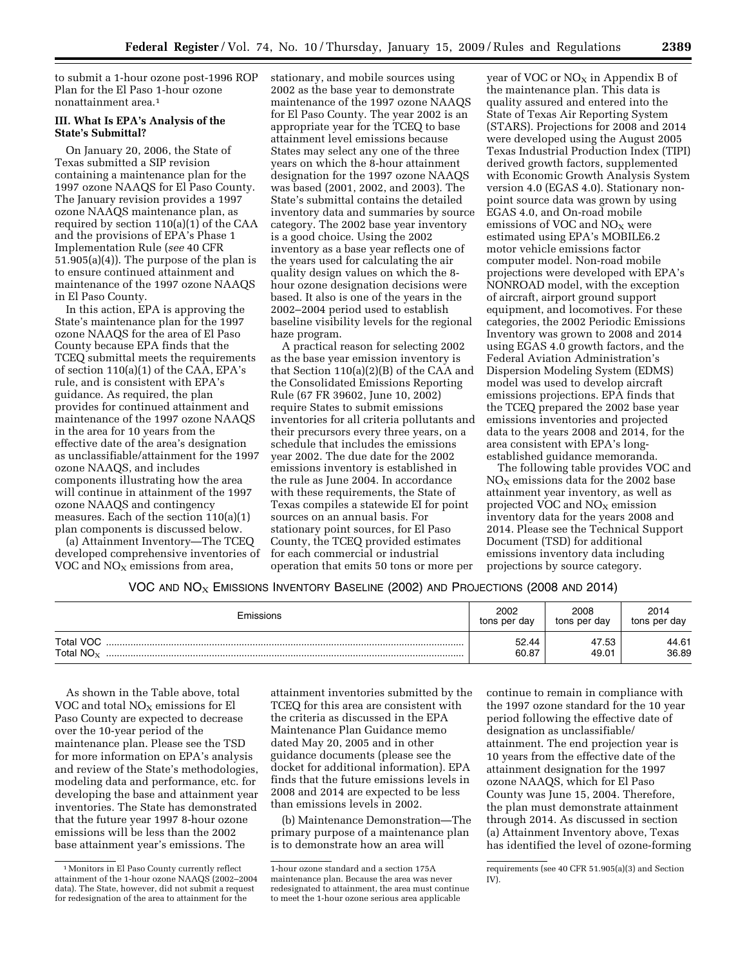to submit a 1-hour ozone post-1996 ROP Plan for the El Paso 1-hour ozone nonattainment area.1

### **III. What Is EPA's Analysis of the State's Submittal?**

On January 20, 2006, the State of Texas submitted a SIP revision containing a maintenance plan for the 1997 ozone NAAQS for El Paso County. The January revision provides a 1997 ozone NAAQS maintenance plan, as required by section 110(a)(1) of the CAA and the provisions of EPA's Phase 1 Implementation Rule (*see* 40 CFR 51.905(a)(4)). The purpose of the plan is to ensure continued attainment and maintenance of the 1997 ozone NAAQS in El Paso County.

In this action, EPA is approving the State's maintenance plan for the 1997 ozone NAAQS for the area of El Paso County because EPA finds that the TCEQ submittal meets the requirements of section 110(a)(1) of the CAA, EPA's rule, and is consistent with EPA's guidance. As required, the plan provides for continued attainment and maintenance of the 1997 ozone NAAQS in the area for 10 years from the effective date of the area's designation as unclassifiable/attainment for the 1997 ozone NAAQS, and includes components illustrating how the area will continue in attainment of the 1997 ozone NAAQS and contingency measures. Each of the section 110(a)(1) plan components is discussed below.

(a) Attainment Inventory—The TCEQ developed comprehensive inventories of VOC and  $NO<sub>X</sub>$  emissions from area,

stationary, and mobile sources using 2002 as the base year to demonstrate maintenance of the 1997 ozone NAAQS for El Paso County. The year 2002 is an appropriate year for the TCEQ to base attainment level emissions because States may select any one of the three years on which the 8-hour attainment designation for the 1997 ozone NAAQS was based (2001, 2002, and 2003). The State's submittal contains the detailed inventory data and summaries by source category. The 2002 base year inventory is a good choice. Using the 2002 inventory as a base year reflects one of the years used for calculating the air quality design values on which the 8 hour ozone designation decisions were based. It also is one of the years in the 2002–2004 period used to establish baseline visibility levels for the regional haze program.

A practical reason for selecting 2002 as the base year emission inventory is that Section 110(a)(2)(B) of the CAA and the Consolidated Emissions Reporting Rule (67 FR 39602, June 10, 2002) require States to submit emissions inventories for all criteria pollutants and their precursors every three years, on a schedule that includes the emissions year 2002. The due date for the 2002 emissions inventory is established in the rule as June 2004. In accordance with these requirements, the State of Texas compiles a statewide EI for point sources on an annual basis. For stationary point sources, for El Paso County, the TCEQ provided estimates for each commercial or industrial operation that emits 50 tons or more per

year of VOC or  $NO<sub>X</sub>$  in Appendix B of the maintenance plan. This data is quality assured and entered into the State of Texas Air Reporting System (STARS). Projections for 2008 and 2014 were developed using the August 2005 Texas Industrial Production Index (TIPI) derived growth factors, supplemented with Economic Growth Analysis System version 4.0 (EGAS 4.0). Stationary nonpoint source data was grown by using EGAS 4.0, and On-road mobile emissions of VOC and  $NO<sub>x</sub>$  were estimated using EPA's MOBILE6.2 motor vehicle emissions factor computer model. Non-road mobile projections were developed with EPA's NONROAD model, with the exception of aircraft, airport ground support equipment, and locomotives. For these categories, the 2002 Periodic Emissions Inventory was grown to 2008 and 2014 using EGAS 4.0 growth factors, and the Federal Aviation Administration's Dispersion Modeling System (EDMS) model was used to develop aircraft emissions projections. EPA finds that the TCEQ prepared the 2002 base year emissions inventories and projected data to the years 2008 and 2014, for the area consistent with EPA's longestablished guidance memoranda.

The following table provides VOC and  $NO<sub>X</sub>$  emissions data for the 2002 base attainment year inventory, as well as projected VOC and  $NO<sub>x</sub>$  emission inventory data for the years 2008 and 2014. Please see the Technical Support Document (TSD) for additional emissions inventory data including projections by source category.

# VOC AND NO<sub>X</sub> EMISSIONS INVENTORY BASELINE (2002) AND PROJECTIONS (2008 AND 2014)

| Emissions                  | 2002           | 2008           | 2014           |
|----------------------------|----------------|----------------|----------------|
|                            | tons per day   | tons per day   | tons per day   |
| Total VOC.<br>Total $NO_x$ | 52.44<br>60.87 | 47.53<br>49.01 | 44.61<br>36.89 |

As shown in the Table above, total VOC and total  $NO<sub>X</sub>$  emissions for El Paso County are expected to decrease over the 10-year period of the maintenance plan. Please see the TSD for more information on EPA's analysis and review of the State's methodologies, modeling data and performance, etc. for developing the base and attainment year inventories. The State has demonstrated that the future year 1997 8-hour ozone emissions will be less than the 2002 base attainment year's emissions. The

attainment inventories submitted by the TCEQ for this area are consistent with the criteria as discussed in the EPA Maintenance Plan Guidance memo dated May 20, 2005 and in other guidance documents (please see the docket for additional information). EPA finds that the future emissions levels in 2008 and 2014 are expected to be less than emissions levels in 2002.

(b) Maintenance Demonstration—The primary purpose of a maintenance plan is to demonstrate how an area will

continue to remain in compliance with the 1997 ozone standard for the 10 year period following the effective date of designation as unclassifiable/ attainment. The end projection year is 10 years from the effective date of the attainment designation for the 1997 ozone NAAQS, which for El Paso County was June 15, 2004. Therefore, the plan must demonstrate attainment through 2014. As discussed in section (a) Attainment Inventory above, Texas has identified the level of ozone-forming

<sup>1</sup>Monitors in El Paso County currently reflect attainment of the 1-hour ozone NAAQS (2002–2004 data). The State, however, did not submit a request for redesignation of the area to attainment for the

<sup>1-</sup>hour ozone standard and a section 175A maintenance plan. Because the area was never redesignated to attainment, the area must continue to meet the 1-hour ozone serious area applicable

requirements (see 40 CFR 51.905(a)(3) and Section IV).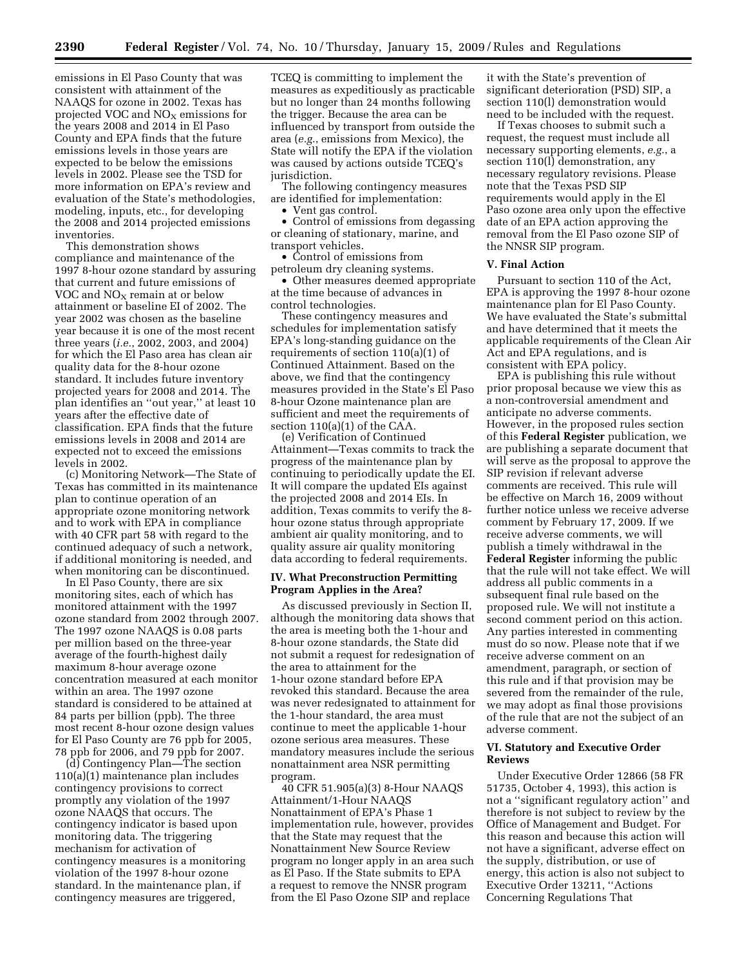emissions in El Paso County that was consistent with attainment of the NAAQS for ozone in 2002. Texas has projected VOC and  $NO<sub>x</sub>$  emissions for the years 2008 and 2014 in El Paso County and EPA finds that the future emissions levels in those years are expected to be below the emissions levels in 2002. Please see the TSD for more information on EPA's review and evaluation of the State's methodologies, modeling, inputs, etc., for developing the 2008 and 2014 projected emissions inventories.

This demonstration shows compliance and maintenance of the 1997 8-hour ozone standard by assuring that current and future emissions of VOC and  $NO<sub>X</sub>$  remain at or below attainment or baseline EI of 2002. The year 2002 was chosen as the baseline year because it is one of the most recent three years (*i.e.*, 2002, 2003, and 2004) for which the El Paso area has clean air quality data for the 8-hour ozone standard. It includes future inventory projected years for 2008 and 2014. The plan identifies an ''out year,'' at least 10 years after the effective date of classification. EPA finds that the future emissions levels in 2008 and 2014 are expected not to exceed the emissions levels in 2002.

(c) Monitoring Network—The State of Texas has committed in its maintenance plan to continue operation of an appropriate ozone monitoring network and to work with EPA in compliance with 40 CFR part 58 with regard to the continued adequacy of such a network, if additional monitoring is needed, and when monitoring can be discontinued.

In El Paso County, there are six monitoring sites, each of which has monitored attainment with the 1997 ozone standard from 2002 through 2007. The 1997 ozone NAAQS is 0.08 parts per million based on the three-year average of the fourth-highest daily maximum 8-hour average ozone concentration measured at each monitor within an area. The 1997 ozone standard is considered to be attained at 84 parts per billion (ppb). The three most recent 8-hour ozone design values for El Paso County are 76 ppb for 2005, 78 ppb for 2006, and 79 ppb for 2007.

(d) Contingency Plan—The section 110(a)(1) maintenance plan includes contingency provisions to correct promptly any violation of the 1997 ozone NAAQS that occurs. The contingency indicator is based upon monitoring data. The triggering mechanism for activation of contingency measures is a monitoring violation of the 1997 8-hour ozone standard. In the maintenance plan, if contingency measures are triggered,

TCEQ is committing to implement the measures as expeditiously as practicable but no longer than 24 months following the trigger. Because the area can be influenced by transport from outside the area (*e.g.*, emissions from Mexico), the State will notify the EPA if the violation was caused by actions outside TCEQ's jurisdiction.

The following contingency measures are identified for implementation:

• Vent gas control.

• Control of emissions from degassing or cleaning of stationary, marine, and transport vehicles.

• Control of emissions from petroleum dry cleaning systems.

• Other measures deemed appropriate at the time because of advances in control technologies.

These contingency measures and schedules for implementation satisfy EPA's long-standing guidance on the requirements of section 110(a)(1) of Continued Attainment. Based on the above, we find that the contingency measures provided in the State's El Paso 8-hour Ozone maintenance plan are sufficient and meet the requirements of section 110(a)(1) of the CAA.

(e) Verification of Continued Attainment—Texas commits to track the progress of the maintenance plan by continuing to periodically update the EI. It will compare the updated EIs against the projected 2008 and 2014 EIs. In addition, Texas commits to verify the 8 hour ozone status through appropriate ambient air quality monitoring, and to quality assure air quality monitoring data according to federal requirements.

# **IV. What Preconstruction Permitting Program Applies in the Area?**

As discussed previously in Section II, although the monitoring data shows that the area is meeting both the 1-hour and 8-hour ozone standards, the State did not submit a request for redesignation of the area to attainment for the 1-hour ozone standard before EPA revoked this standard. Because the area was never redesignated to attainment for the 1-hour standard, the area must continue to meet the applicable 1-hour ozone serious area measures. These mandatory measures include the serious nonattainment area NSR permitting program.

40 CFR 51.905(a)(3) 8-Hour NAAQS Attainment/1-Hour NAAQS Nonattainment of EPA's Phase 1 implementation rule, however, provides that the State may request that the Nonattainment New Source Review program no longer apply in an area such as El Paso. If the State submits to EPA a request to remove the NNSR program from the El Paso Ozone SIP and replace

it with the State's prevention of significant deterioration (PSD) SIP, a section 110(l) demonstration would need to be included with the request.

If Texas chooses to submit such a request, the request must include all necessary supporting elements, *e.g.*, a section 110(l) demonstration, any necessary regulatory revisions. Please note that the Texas PSD SIP requirements would apply in the El Paso ozone area only upon the effective date of an EPA action approving the removal from the El Paso ozone SIP of the NNSR SIP program.

### **V. Final Action**

Pursuant to section 110 of the Act, EPA is approving the 1997 8-hour ozone maintenance plan for El Paso County. We have evaluated the State's submittal and have determined that it meets the applicable requirements of the Clean Air Act and EPA regulations, and is consistent with EPA policy.

EPA is publishing this rule without prior proposal because we view this as a non-controversial amendment and anticipate no adverse comments. However, in the proposed rules section of this **Federal Register** publication, we are publishing a separate document that will serve as the proposal to approve the SIP revision if relevant adverse comments are received. This rule will be effective on March 16, 2009 without further notice unless we receive adverse comment by February 17, 2009. If we receive adverse comments, we will publish a timely withdrawal in the **Federal Register** informing the public that the rule will not take effect. We will address all public comments in a subsequent final rule based on the proposed rule. We will not institute a second comment period on this action. Any parties interested in commenting must do so now. Please note that if we receive adverse comment on an amendment, paragraph, or section of this rule and if that provision may be severed from the remainder of the rule, we may adopt as final those provisions of the rule that are not the subject of an adverse comment.

#### **VI. Statutory and Executive Order Reviews**

Under Executive Order 12866 (58 FR 51735, October 4, 1993), this action is not a ''significant regulatory action'' and therefore is not subject to review by the Office of Management and Budget. For this reason and because this action will not have a significant, adverse effect on the supply, distribution, or use of energy, this action is also not subject to Executive Order 13211, ''Actions Concerning Regulations That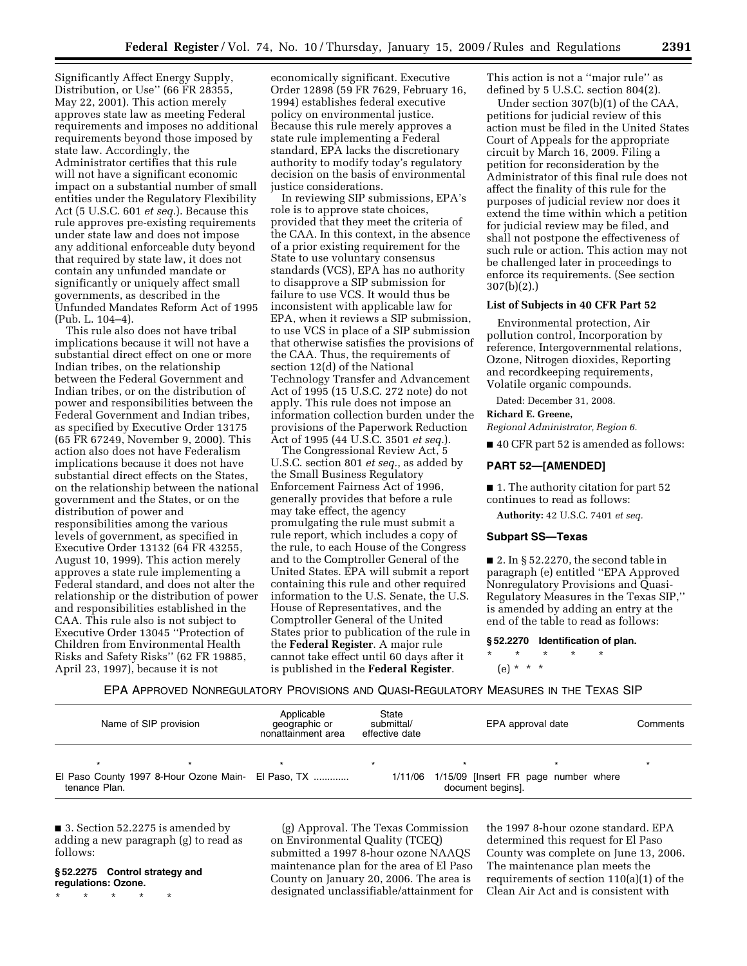Significantly Affect Energy Supply, Distribution, or Use'' (66 FR 28355, May 22, 2001). This action merely approves state law as meeting Federal requirements and imposes no additional requirements beyond those imposed by state law. Accordingly, the Administrator certifies that this rule will not have a significant economic impact on a substantial number of small entities under the Regulatory Flexibility Act (5 U.S.C. 601 *et seq.*). Because this rule approves pre-existing requirements under state law and does not impose any additional enforceable duty beyond that required by state law, it does not contain any unfunded mandate or significantly or uniquely affect small governments, as described in the Unfunded Mandates Reform Act of 1995 (Pub. L. 104–4).

This rule also does not have tribal implications because it will not have a substantial direct effect on one or more Indian tribes, on the relationship between the Federal Government and Indian tribes, or on the distribution of power and responsibilities between the Federal Government and Indian tribes, as specified by Executive Order 13175 (65 FR 67249, November 9, 2000). This action also does not have Federalism implications because it does not have substantial direct effects on the States, on the relationship between the national government and the States, or on the distribution of power and responsibilities among the various levels of government, as specified in Executive Order 13132 (64 FR 43255, August 10, 1999). This action merely approves a state rule implementing a Federal standard, and does not alter the relationship or the distribution of power and responsibilities established in the CAA. This rule also is not subject to Executive Order 13045 ''Protection of Children from Environmental Health Risks and Safety Risks'' (62 FR 19885, April 23, 1997), because it is not

economically significant. Executive Order 12898 (59 FR 7629, February 16, 1994) establishes federal executive policy on environmental justice. Because this rule merely approves a state rule implementing a Federal standard, EPA lacks the discretionary authority to modify today's regulatory decision on the basis of environmental justice considerations.

In reviewing SIP submissions, EPA's role is to approve state choices, provided that they meet the criteria of the CAA. In this context, in the absence of a prior existing requirement for the State to use voluntary consensus standards (VCS), EPA has no authority to disapprove a SIP submission for failure to use VCS. It would thus be inconsistent with applicable law for EPA, when it reviews a SIP submission, to use VCS in place of a SIP submission that otherwise satisfies the provisions of the CAA. Thus, the requirements of section 12(d) of the National Technology Transfer and Advancement Act of 1995 (15 U.S.C. 272 note) do not apply. This rule does not impose an information collection burden under the provisions of the Paperwork Reduction Act of 1995 (44 U.S.C. 3501 *et seq.*).

The Congressional Review Act, 5 U.S.C. section 801 *et seq.*, as added by the Small Business Regulatory Enforcement Fairness Act of 1996, generally provides that before a rule may take effect, the agency promulgating the rule must submit a rule report, which includes a copy of the rule, to each House of the Congress and to the Comptroller General of the United States. EPA will submit a report containing this rule and other required information to the U.S. Senate, the U.S. House of Representatives, and the Comptroller General of the United States prior to publication of the rule in the **Federal Register**. A major rule cannot take effect until 60 days after it is published in the **Federal Register**.

This action is not a ''major rule'' as defined by 5 U.S.C. section 804(2).

Under section 307(b)(1) of the CAA, petitions for judicial review of this action must be filed in the United States Court of Appeals for the appropriate circuit by March 16, 2009. Filing a petition for reconsideration by the Administrator of this final rule does not affect the finality of this rule for the purposes of judicial review nor does it extend the time within which a petition for judicial review may be filed, and shall not postpone the effectiveness of such rule or action. This action may not be challenged later in proceedings to enforce its requirements. (See section 307(b)(2).)

### **List of Subjects in 40 CFR Part 52**

Environmental protection, Air pollution control, Incorporation by reference, Intergovernmental relations, Ozone, Nitrogen dioxides, Reporting and recordkeeping requirements, Volatile organic compounds.

Dated: December 31, 2008.

## **Richard E. Greene,**

*Regional Administrator, Region 6.* 

■ 40 CFR part 52 is amended as follows:

#### **PART 52—[AMENDED]**

■ 1. The authority citation for part 52 continues to read as follows:

**Authority:** 42 U.S.C. 7401 *et seq.* 

#### **Subpart SS—Texas**

 $\blacksquare$  2. In § 52.2270, the second table in paragraph (e) entitled ''EPA Approved Nonregulatory Provisions and Quasi-Regulatory Measures in the Texas SIP,'' is amended by adding an entry at the end of the table to read as follows:

### **§ 52.2270 Identification of plan.**

\* \* \* \* \*

EPA APPROVED NONREGULATORY PROVISIONS AND QUASI-REGULATORY MEASURES IN THE TEXAS SIP

|               | Name of SIP provision | Applicable<br>geographic or<br>nonattainment area  | State<br>submittal/<br>effective date | EPA approval date                                                 | Comments |
|---------------|-----------------------|----------------------------------------------------|---------------------------------------|-------------------------------------------------------------------|----------|
| tenance Plan. |                       | El Paso County 1997 8-Hour Ozone Main- El Paso, TX |                                       | 1/11/06 1/15/09 [Insert FR page number where<br>document begins]. |          |

■ 3. Section 52.2275 is amended by adding a new paragraph (g) to read as follows:

**§ 52.2275 Control strategy and regulations: Ozone.** 

\* \* \* \* \*

(g) Approval. The Texas Commission on Environmental Quality (TCEQ) submitted a 1997 8-hour ozone NAAQS maintenance plan for the area of El Paso County on January 20, 2006. The area is designated unclassifiable/attainment for

the 1997 8-hour ozone standard. EPA determined this request for El Paso County was complete on June 13, 2006. The maintenance plan meets the requirements of section 110(a)(1) of the Clean Air Act and is consistent with

<sup>(</sup>e) \* \* \*